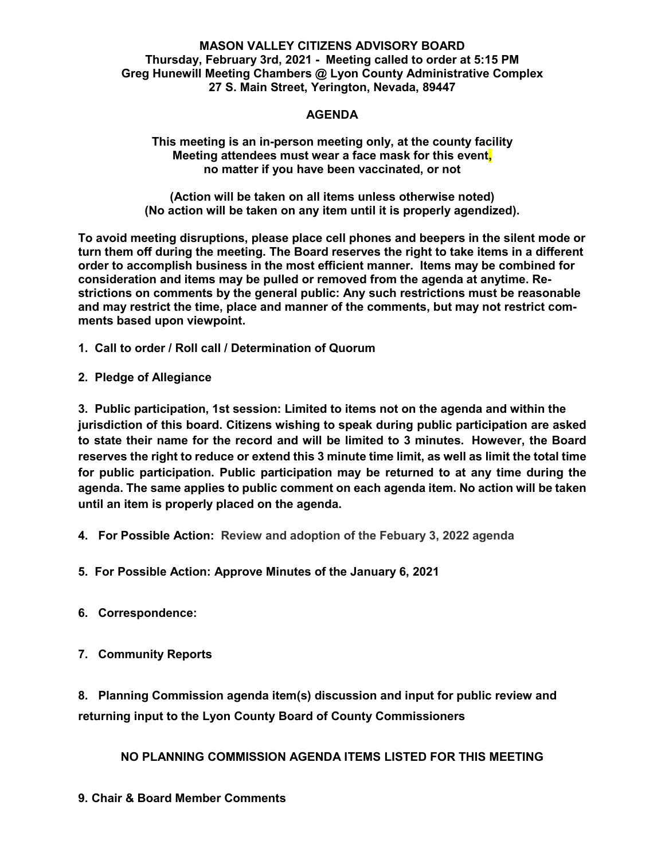#### **MASON VALLEY CITIZENS ADVISORY BOARD Thursday, February 3rd, 2021 - Meeting called to order at 5:15 PM Greg Hunewill Meeting Chambers @ Lyon County Administrative Complex 27 S. Main Street, Yerington, Nevada, 89447**

#### **AGENDA**

**This meeting is an in-person meeting only, at the county facility Meeting attendees must wear a face mask for this event, no matter if you have been vaccinated, or not**

**(Action will be taken on all items unless otherwise noted) (No action will be taken on any item until it is properly agendized).**

**To avoid meeting disruptions, please place cell phones and beepers in the silent mode or turn them off during the meeting. The Board reserves the right to take items in a different order to accomplish business in the most efficient manner. Items may be combined for consideration and items may be pulled or removed from the agenda at anytime. Restrictions on comments by the general public: Any such restrictions must be reasonable and may restrict the time, place and manner of the comments, but may not restrict comments based upon viewpoint.**

- **1. Call to order / Roll call / Determination of Quorum**
- **2. Pledge of Allegiance**

**3. Public participation, 1st session: Limited to items not on the agenda and within the jurisdiction of this board. Citizens wishing to speak during public participation are asked to state their name for the record and will be limited to 3 minutes. However, the Board reserves the right to reduce or extend this 3 minute time limit, as well as limit the total time for public participation. Public participation may be returned to at any time during the agenda. The same applies to public comment on each agenda item. No action will be taken until an item is properly placed on the agenda.**

- **4. For Possible Action: Review and adoption of the Febuary 3, 2022 agenda**
- **5. For Possible Action: Approve Minutes of the January 6, 2021**
- **6. Correspondence:**

# **7. Community Reports**

**8. Planning Commission agenda item(s) discussion and input for public review and returning input to the Lyon County Board of County Commissioners**

**NO PLANNING COMMISSION AGENDA ITEMS LISTED FOR THIS MEETING**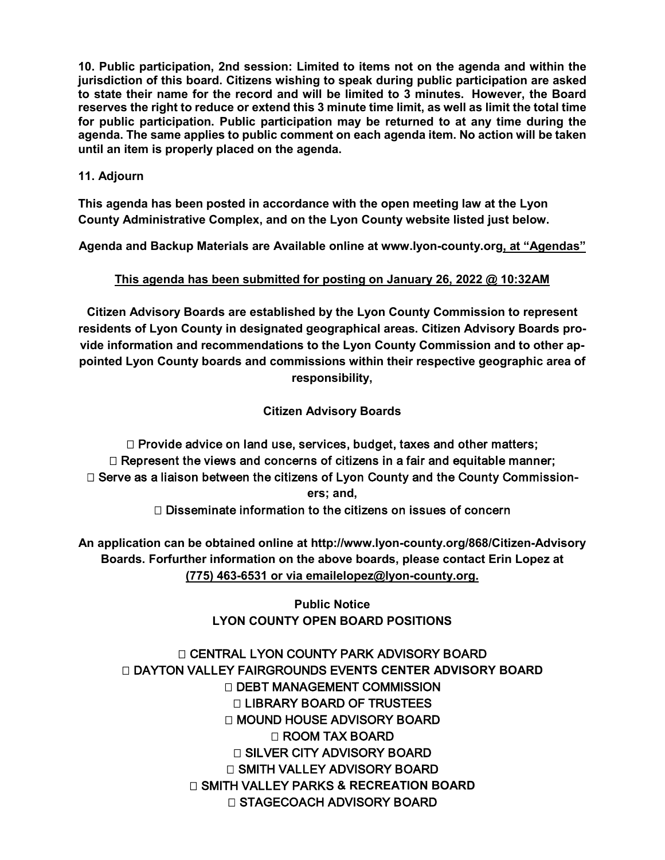**10. Public participation, 2nd session: Limited to items not on the agenda and within the jurisdiction of this board. Citizens wishing to speak during public participation are asked to state their name for the record and will be limited to 3 minutes. However, the Board reserves the right to reduce or extend this 3 minute time limit, as well as limit the total time for public participation. Public participation may be returned to at any time during the agenda. The same applies to public comment on each agenda item. No action will be taken until an item is properly placed on the agenda.**

### **11. Adjourn**

**This agenda has been posted in accordance with the open meeting law at the Lyon County Administrative Complex, and on the Lyon County website listed just below.**

**Agenda and Backup Materials are Available online at [www.lyon-county.org,](http://www.lyon-county.org/) at "Agendas"**

# **This agenda has been submitted for posting on January 26, 2022 @ 10:32AM**

**Citizen Advisory Boards are established by the Lyon County Commission to represent residents of Lyon County in designated geographical areas. Citizen Advisory Boards provide information and recommendations to the Lyon County Commission and to other appointed Lyon County boards and commissions within their respective geographic area of responsibility,**

**Citizen Advisory Boards**

 $\Box$  Provide advice on land use, services, budget, taxes and other matters;  $\Box$  Represent the views and concerns of citizens in a fair and equitable manner; □ Serve as a liaison between the citizens of Lyon County and the County Commission**ers; and,**

 $\Box$  Disseminate information to the citizens on issues of concern

**An application can be obtained online at<http://www.lyon-county.org/868/Citizen-Advisory> Boards. Forfurther information on the above boards, please contact Erin Lopez at (775) 463-6531 or via emailelopez@lyon-county.org.**

> **Public Notice LYON COUNTY OPEN BOARD POSITIONS**

 CENTRAL LYON COUNTY PARK ADVISORY BOARD DAYTON VALLEY FAIRGROUNDS EVE**NTS CENTER ADVISORY BOARD** □ DEBT MANAGEMENT COMMISSION LIBRARY BOARD OF TRUSTEES □ MOUND HOUSE ADVISORY BOARD ROOM TAX BOARD □ SILVER CITY ADVISORY BOARD □ SMITH VALLEY ADVISORY BOARD SMITH VALLEY PARKS **& RECREATION BOARD** □ STAGECOACH ADVISORY BOARD